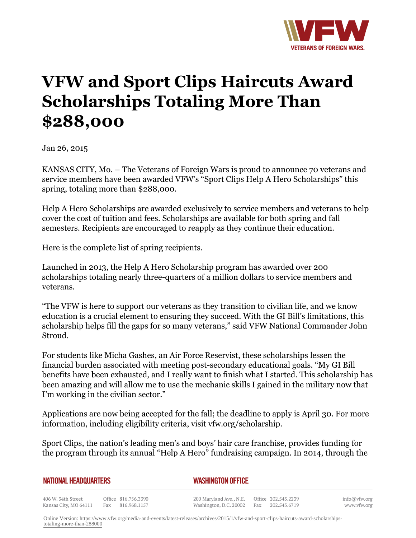

## **VFW and Sport Clips Haircuts Award Scholarships Totaling More Than \$288,000**

Jan 26, 2015

KANSAS CITY, Mo. – The Veterans of Foreign Wars is proud to announce 70 veterans and service members have been awarded VFW's "Sport Clips Help A Hero Scholarships" this spring, totaling more than \$288,000.

Help A Hero Scholarships are awarded exclusively to service members and veterans to help cover the cost of tuition and fees. Scholarships are available for both spring and fall semesters. Recipients are encouraged to reapply as they continue their education.

Here is the complete list of spring recipients.

Launched in 2013, the Help A Hero Scholarship program has awarded over 200 scholarships totaling nearly three-quarters of a million dollars to service members and veterans.

"The VFW is here to support our veterans as they transition to civilian life, and we know education is a crucial element to ensuring they succeed. With the GI Bill's limitations, this scholarship helps fill the gaps for so many veterans," said VFW National Commander John Stroud.

For students like Micha Gashes, an Air Force Reservist, these scholarships lessen the financial burden associated with meeting post-secondary educational goals. "My GI Bill benefits have been exhausted, and I really want to finish what I started. This scholarship has been amazing and will allow me to use the mechanic skills I gained in the military now that I'm working in the civilian sector."

Applications are now being accepted for the fall; the deadline to apply is April 30. For more information, including eligibility criteria, visit vfw.org/scholarship.

Sport Clips, the nation's leading men's and boys' hair care franchise, provides funding for the program through its annual "Help A Hero" fundraising campaign. In 2014, through the

| <b>NATIONAL HEADQUARTERS</b> |  |  |  |  |
|------------------------------|--|--|--|--|
|------------------------------|--|--|--|--|

*WASHINGTON OFFICE* 

406 W. 34th Street Office 816.756.3390 Fax 816.968.1157 Kansas City, MO 64111

200 Maryland Ave., N.E. Washington, D.C. 20002 info@vfw.org www.vfw.org